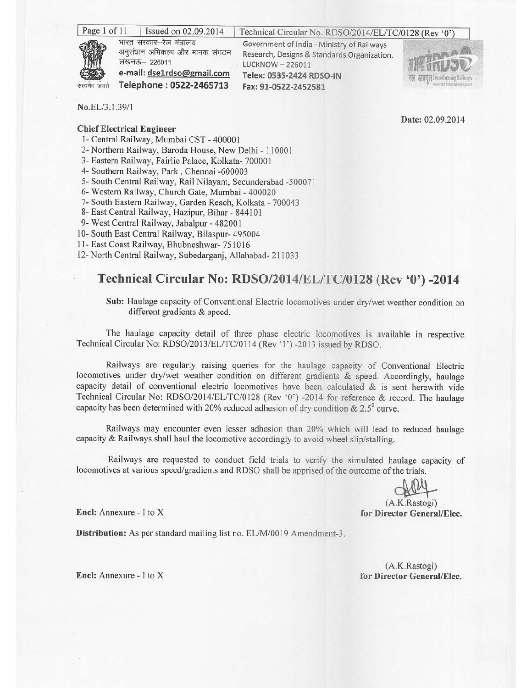| Page 1 of 11           | Issued on 02.09.2014                                                                                                               | Technical Circular No. RDSO/2014/EL/TC/0128 (Rev '0')                                                                                                             |                                   |
|------------------------|------------------------------------------------------------------------------------------------------------------------------------|-------------------------------------------------------------------------------------------------------------------------------------------------------------------|-----------------------------------|
| the se<br>सत्यमेव जयते | भारत सरकार-रेल मंत्रालय<br>अनुसंधान अभिकल्प और मानक संगठन<br>लखनऊ– 226011<br>e-mail: dse1rdso@gmail.com<br>Telephone: 0522-2465713 | Government of India - Ministry of Railways<br>Research, Designs & Standards Organization,<br>LUCKNOW - 226011<br>Telex: 0535-2424 RDSO-IN<br>Fax: 91-0522-2452581 | रेल अग्रदूत Iransforming Railways |

No.EL/3.1.39/1

## **Chief Electrical Engineer**

- 1- Central Railway, Mumbai CST 400001
- 2- Northern Railway, Baroda House, New Delhi 110001
- 3- Eastern Railway, Fairlie Palace, Kolkata- 700001
- 4- Southern Railway, Park, Chennai -600003
- 5- South Central Railway, Rail Nilayam, Secunderabad -500071
- 6- Western Railway, Church Gate, Mumbai 400020
- 7- South Eastern Railway, Garden Reach, Kolkata 700043
- 8- East Central Railway, Hazipur, Bihar 844101
- 9- West Central Railway, Jabalpur 482001
- 10- South East Central Railway, Bilaspur- 495004
- 11- East Coast Railway, Bhubneshwar- 751016

12- North Central Railway, Subedargani, Allahabad- 211033

## Technical Circular No: RDSO/2014/EL/TC/0128 (Rev '0') -2014

Sub: Haulage capacity of Conventional Electric locomotives under dry/wet weather condition on different gradients & speed.

The haulage capacity detail of three phase electric locomotives is available in respective Technical Circular No: RDSO/2013/EL/TC/0114 (Rev '1') -2013 issued by RDSO.

Railways are regularly raising queries for the haulage capacity of Conventional Electric locomotives under dry/wet weather condition on different gradients & speed. Accordingly, haulage capacity detail of conventional electric locomotives have been calculated  $\&$  is sent herewith vide Technical Circular No: RDSO/2014/EL/TC/0128 (Rev '0') -2014 for reference & record. The haulage capacity has been determined with 20% reduced adhesion of dry condition &  $2.5^{\circ}$  curve.

Railways may encounter even lesser adhesion than 20% which will lead to reduced haulage capacity & Railways shall haul the locomotive accordingly to avoid wheel slip/stalling.

Railways are requested to conduct field trials to verify the simulated haulage capacity of locomotives at various speed/gradients and RDSO shall be apprised of the outcome of the trials.

Date: 02.09.2014

 $(A.K.Rastogi)$ for Director General/Elec.

Encl: Annexure - I to X

Distribution: As per standard mailing list no. EL/M/0019 Amendment-3.

(A.K.Rastogi) for Director General/Elec.

Encl: Annexure - I to X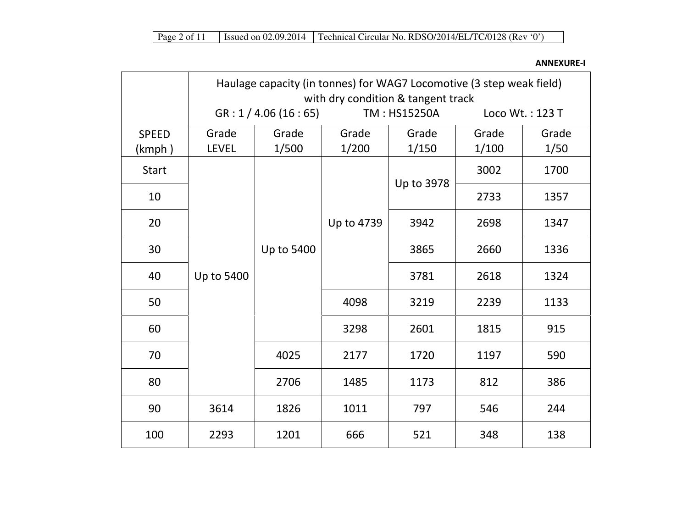ANNEXURE-I

|                        | Haulage capacity (in tonnes) for WAG7 Locomotive (3 step weak field)<br>with dry condition & tangent track |                      |                |                |                |                 |
|------------------------|------------------------------------------------------------------------------------------------------------|----------------------|----------------|----------------|----------------|-----------------|
|                        |                                                                                                            | GR: 1 / 4.06 (16:65) |                | TM: HS15250A   |                | Loco Wt.: 123 T |
| <b>SPEED</b><br>(kmph) | Grade<br><b>LEVEL</b>                                                                                      | Grade<br>1/500       | Grade<br>1/200 | Grade<br>1/150 | Grade<br>1/100 | Grade<br>1/50   |
| <b>Start</b>           |                                                                                                            |                      |                |                | 3002           | 1700            |
| 10                     |                                                                                                            | Up to 5400           |                | Up to 3978     | 2733           | 1357            |
| 20                     | Up to 5400                                                                                                 |                      | Up to 4739     | 3942           | 2698           | 1347            |
| 30                     |                                                                                                            |                      |                | 3865           | 2660           | 1336            |
| 40                     |                                                                                                            |                      |                | 3781           | 2618           | 1324            |
| 50                     |                                                                                                            |                      | 4098           | 3219           | 2239           | 1133            |
| 60                     |                                                                                                            |                      | 3298           | 2601           | 1815           | 915             |
| 70                     |                                                                                                            | 4025                 | 2177           | 1720           | 1197           | 590             |
| 80                     |                                                                                                            | 2706                 | 1485           | 1173           | 812            | 386             |
| 90                     | 3614                                                                                                       | 1826                 | 1011           | 797            | 546            | 244             |
| 100                    | 2293                                                                                                       | 1201                 | 666            | 521            | 348            | 138             |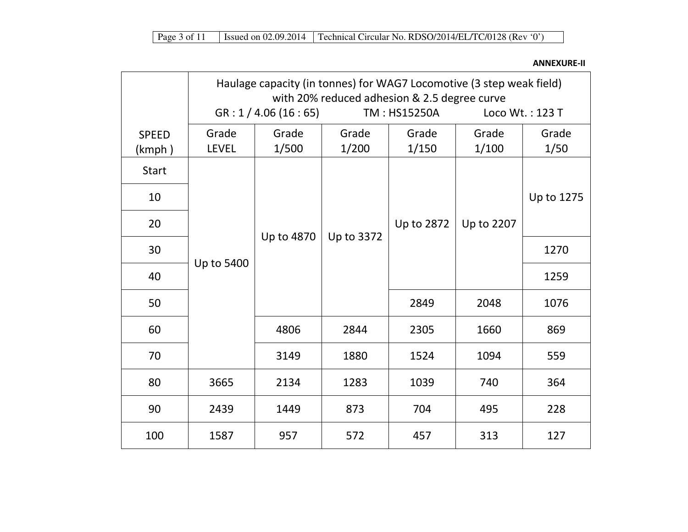ANNEXURE-II

|                        | Haulage capacity (in tonnes) for WAG7 Locomotive (3 step weak field)<br>with 20% reduced adhesion & 2.5 degree curve |                      |                |                |                 |               |  |
|------------------------|----------------------------------------------------------------------------------------------------------------------|----------------------|----------------|----------------|-----------------|---------------|--|
|                        |                                                                                                                      | GR: 1 / 4.06 (16:65) |                | TM: HS15250A   | Loco Wt.: 123 T |               |  |
| <b>SPEED</b><br>(kmph) | Grade<br><b>LEVEL</b>                                                                                                | Grade<br>1/500       | Grade<br>1/200 | Grade<br>1/150 | Grade<br>1/100  | Grade<br>1/50 |  |
| <b>Start</b>           |                                                                                                                      |                      |                |                |                 |               |  |
| 10                     |                                                                                                                      |                      |                |                |                 | Up to 1275    |  |
| 20                     |                                                                                                                      | Up to 4870           | Up to 3372     | Up to 2872     | Up to 2207      |               |  |
| 30                     | Up to 5400                                                                                                           |                      |                |                |                 | 1270          |  |
| 40                     |                                                                                                                      |                      |                |                |                 | 1259          |  |
| 50                     |                                                                                                                      |                      |                | 2849           | 2048            | 1076          |  |
| 60                     |                                                                                                                      | 4806                 | 2844           | 2305           | 1660            | 869           |  |
| 70                     |                                                                                                                      | 3149                 | 1880           | 1524           | 1094            | 559           |  |
| 80                     | 3665                                                                                                                 | 2134                 | 1283           | 1039           | 740             | 364           |  |
| 90                     | 2439                                                                                                                 | 1449                 | 873            | 704            | 495             | 228           |  |
| 100                    | 1587                                                                                                                 | 957                  | 572            | 457            | 313             | 127           |  |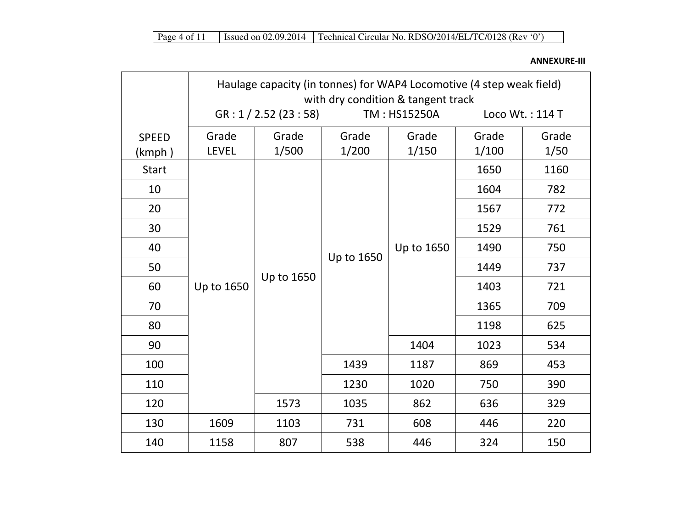ANNEXURE-III

|                        | Haulage capacity (in tonnes) for WAP4 Locomotive (4 step weak field)<br>with dry condition & tangent track |                        |                |                |                |                 |  |
|------------------------|------------------------------------------------------------------------------------------------------------|------------------------|----------------|----------------|----------------|-----------------|--|
|                        |                                                                                                            | GR: 1 / 2.52 (23 : 58) |                | TM: HS15250A   |                | Loco Wt.: 114 T |  |
| <b>SPEED</b><br>(kmph) | Grade<br><b>LEVEL</b>                                                                                      | Grade<br>1/500         | Grade<br>1/200 | Grade<br>1/150 | Grade<br>1/100 | Grade<br>1/50   |  |
| <b>Start</b>           |                                                                                                            |                        |                |                | 1650           | 1160            |  |
| 10                     |                                                                                                            |                        |                | Up to 1650     | 1604           | 782             |  |
| 20                     |                                                                                                            | Up to 1650             |                |                | 1567           | 772             |  |
| 30                     |                                                                                                            |                        | Up to 1650     |                | 1529           | 761             |  |
| 40                     |                                                                                                            |                        |                |                | 1490           | 750             |  |
| 50                     |                                                                                                            |                        |                |                | 1449           | 737             |  |
| 60                     | Up to 1650                                                                                                 |                        |                |                | 1403           | 721             |  |
| 70                     |                                                                                                            |                        |                |                | 1365           | 709             |  |
| 80                     |                                                                                                            |                        |                |                | 1198           | 625             |  |
| 90                     |                                                                                                            |                        |                | 1404           | 1023           | 534             |  |
| 100                    |                                                                                                            |                        | 1439           | 1187           | 869            | 453             |  |
| 110                    |                                                                                                            |                        | 1230           | 1020           | 750            | 390             |  |
| 120                    |                                                                                                            | 1573                   | 1035           | 862            | 636            | 329             |  |
| 130                    | 1609                                                                                                       | 1103                   | 731            | 608            | 446            | 220             |  |
| 140                    | 1158                                                                                                       | 807                    | 538            | 446            | 324            | 150             |  |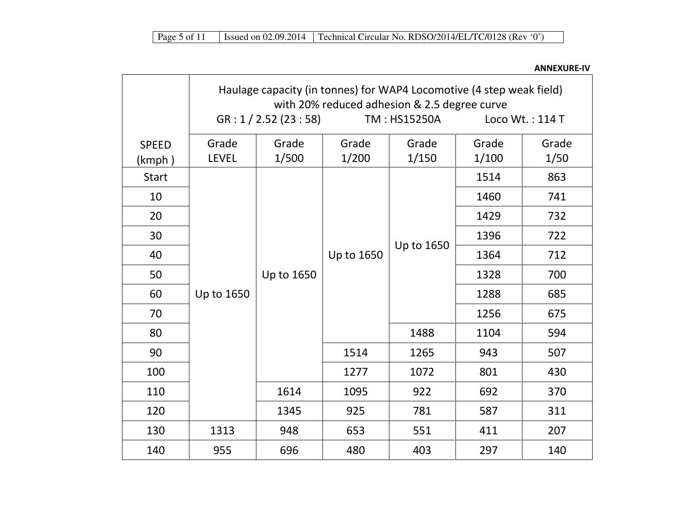SPEED (kmph ) Haulage capacity (in tonnes) for WAP4 Locomotive (4 step weak field) with 20% reduced adhesion & 2.5 degree curve GR : 1 / 2.52 (23 : 58) TM : HS15250A Loco Wt. : 114 T Grade LEVEL Grade 1/500 Grade 1/200 Grade 1/150 Grade 1/100 Grade 1/50 Start Up to 165060 1288 685 50 | Up to 1650 | | 1328 | 700 40 | | | | | Up to 1650 | | 1364 | 712 Up to 1650 1514 863 10 1460 741 20 | | | | | | | 1429 | 732 30 1396 722 70 1256 675 80 1488 1104 594 90 1514 1265 943 507 100 | | | 1277 | 1072 | 801 | 430 110 | | | 1614 | 1095 | 922 | 692 | 370 120 1345 925 781 587 311 130 | 1313 | 948 | 653 | 551 | 411 | 207 140 | 955 | 696 | 480 | 403 | 297 | 140

ANNEXURE-IV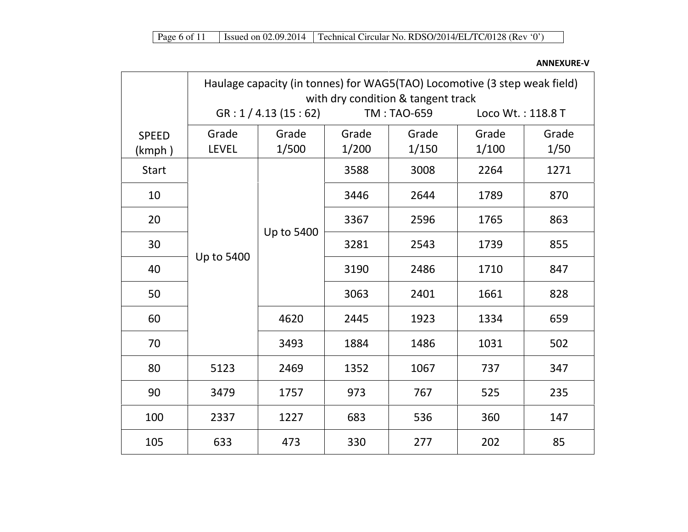ANNEXURE-V

|                        | Haulage capacity (in tonnes) for WAG5(TAO) Locomotive (3 step weak field)<br>with dry condition & tangent track |                      |                |                    |                   |               |  |
|------------------------|-----------------------------------------------------------------------------------------------------------------|----------------------|----------------|--------------------|-------------------|---------------|--|
|                        |                                                                                                                 | GR: 1 / 4.13 (15:62) |                | <b>TM: TAO-659</b> | Loco Wt.: 118.8 T |               |  |
| <b>SPEED</b><br>(kmph) | Grade<br><b>LEVEL</b>                                                                                           | Grade<br>1/500       | Grade<br>1/200 | Grade<br>1/150     | Grade<br>1/100    | Grade<br>1/50 |  |
| <b>Start</b>           |                                                                                                                 |                      | 3588           | 3008               | 2264              | 1271          |  |
| 10                     |                                                                                                                 |                      | 3446           | 2644               | 1789              | 870           |  |
| 20                     |                                                                                                                 | Up to 5400           | 3367           | 2596               | 1765              | 863           |  |
| 30                     | Up to 5400                                                                                                      |                      | 3281           | 2543               | 1739              | 855           |  |
| 40                     |                                                                                                                 |                      | 3190           | 2486               | 1710              | 847           |  |
| 50                     |                                                                                                                 |                      | 3063           | 2401               | 1661              | 828           |  |
| 60                     |                                                                                                                 | 4620                 | 2445           | 1923               | 1334              | 659           |  |
| 70                     |                                                                                                                 | 3493                 | 1884           | 1486               | 1031              | 502           |  |
| 80                     | 5123                                                                                                            | 2469                 | 1352           | 1067               | 737               | 347           |  |
| 90                     | 3479                                                                                                            | 1757                 | 973            | 767                | 525               | 235           |  |
| 100                    | 2337                                                                                                            | 1227                 | 683            | 536                | 360               | 147           |  |
| 105                    | 633                                                                                                             | 473                  | 330            | 277                | 202               | 85            |  |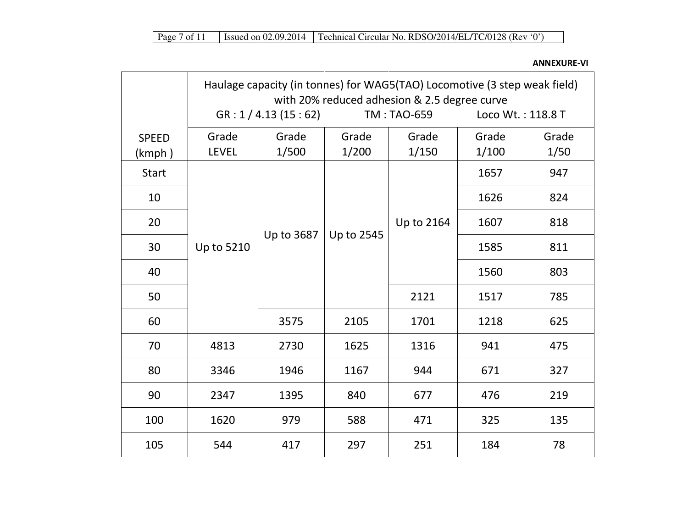ANNEXURE-VI

|                        | Haulage capacity (in tonnes) for WAG5(TAO) Locomotive (3 step weak field)<br>with 20% reduced adhesion & 2.5 degree curve |                      |                |                |                   |               |
|------------------------|---------------------------------------------------------------------------------------------------------------------------|----------------------|----------------|----------------|-------------------|---------------|
|                        |                                                                                                                           | GR: 1 / 4.13 (15:62) |                | TM: TAO-659    | Loco Wt.: 118.8 T |               |
| <b>SPEED</b><br>(kmph) | Grade<br><b>LEVEL</b>                                                                                                     | Grade<br>1/500       | Grade<br>1/200 | Grade<br>1/150 | Grade<br>1/100    | Grade<br>1/50 |
| <b>Start</b>           |                                                                                                                           |                      |                |                | 1657              | 947           |
| 10                     |                                                                                                                           |                      | Up to 2545     | Up to 2164     | 1626              | 824           |
| 20                     | Up to 5210                                                                                                                | Up to 3687           |                |                | 1607              | 818           |
| 30                     |                                                                                                                           |                      |                |                | 1585              | 811           |
| 40                     |                                                                                                                           |                      |                |                | 1560              | 803           |
| 50                     |                                                                                                                           |                      |                | 2121           | 1517              | 785           |
| 60                     |                                                                                                                           | 3575                 | 2105           | 1701           | 1218              | 625           |
| 70                     | 4813                                                                                                                      | 2730                 | 1625           | 1316           | 941               | 475           |
| 80                     | 3346                                                                                                                      | 1946                 | 1167           | 944            | 671               | 327           |
| 90                     | 2347                                                                                                                      | 1395                 | 840            | 677            | 476               | 219           |
| 100                    | 1620                                                                                                                      | 979                  | 588            | 471            | 325               | 135           |
| 105                    | 544                                                                                                                       | 417                  | 297            | 251            | 184               | 78            |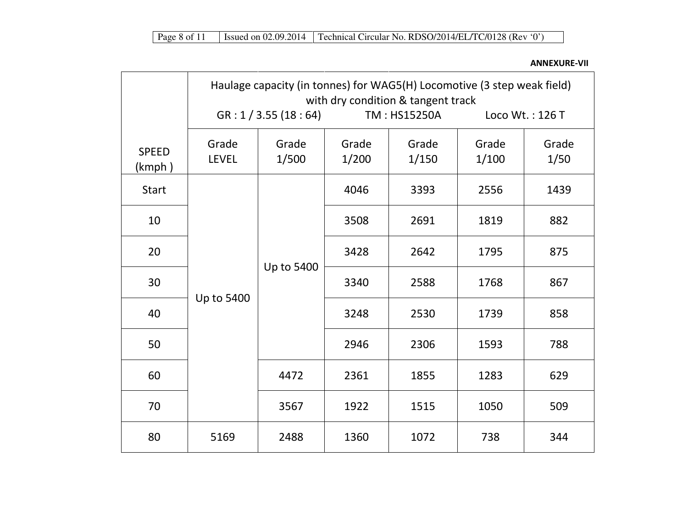ANNEXURE-VII

|                        | Haulage capacity (in tonnes) for WAG5(H) Locomotive (3 step weak field)<br>with dry condition & tangent track |                      |                |                |                |                 |  |
|------------------------|---------------------------------------------------------------------------------------------------------------|----------------------|----------------|----------------|----------------|-----------------|--|
|                        |                                                                                                               | GR: 1 / 3.55 (18:64) |                | TM: HS15250A   |                | Loco Wt.: 126 T |  |
| <b>SPEED</b><br>(kmph) | Grade<br><b>LEVEL</b>                                                                                         | Grade<br>1/500       | Grade<br>1/200 | Grade<br>1/150 | Grade<br>1/100 | Grade<br>1/50   |  |
| <b>Start</b>           |                                                                                                               |                      | 4046           | 3393           | 2556           | 1439            |  |
| 10                     |                                                                                                               | Up to 5400           | 3508           | 2691           | 1819           | 882             |  |
| 20                     |                                                                                                               |                      | 3428           | 2642           | 1795           | 875             |  |
| 30                     |                                                                                                               |                      | 3340           | 2588           | 1768           | 867             |  |
| 40                     | Up to 5400                                                                                                    |                      | 3248           | 2530           | 1739           | 858             |  |
| 50                     |                                                                                                               |                      | 2946           | 2306           | 1593           | 788             |  |
| 60                     |                                                                                                               | 4472                 | 2361           | 1855           | 1283           | 629             |  |
| 70                     |                                                                                                               | 3567                 | 1922           | 1515           | 1050           | 509             |  |
| 80                     | 5169                                                                                                          | 2488                 | 1360           | 1072           | 738            | 344             |  |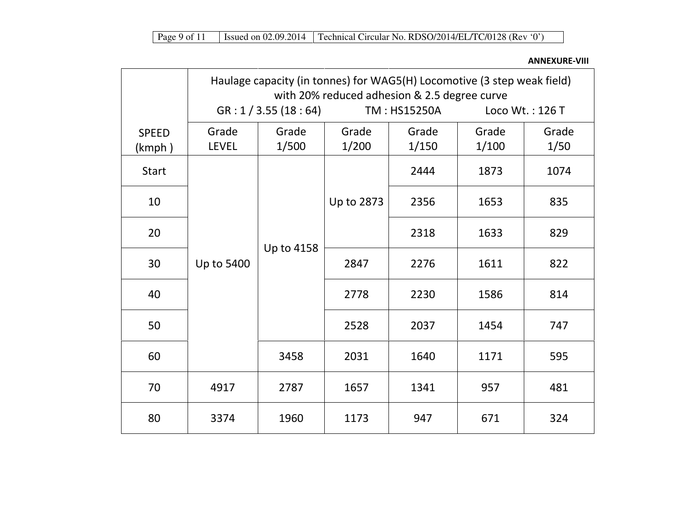ANNEXURE-VIII

|                        | Haulage capacity (in tonnes) for WAG5(H) Locomotive (3 step weak field)<br>with 20% reduced adhesion & 2.5 degree curve |                      |                |                |                |                 |  |
|------------------------|-------------------------------------------------------------------------------------------------------------------------|----------------------|----------------|----------------|----------------|-----------------|--|
|                        |                                                                                                                         | GR: 1 / 3.55 (18:64) |                | TM: HS15250A   |                | Loco Wt.: 126 T |  |
| <b>SPEED</b><br>(kmph) | Grade<br><b>LEVEL</b>                                                                                                   | Grade<br>1/500       | Grade<br>1/200 | Grade<br>1/150 | Grade<br>1/100 | Grade<br>1/50   |  |
| <b>Start</b>           |                                                                                                                         |                      |                | 2444           | 1873           | 1074            |  |
| 10                     |                                                                                                                         |                      | Up to 2873     | 2356           | 1653           | 835             |  |
| 20                     | Up to 5400                                                                                                              |                      |                | 2318           | 1633           | 829             |  |
| 30                     |                                                                                                                         | Up to 4158           | 2847           | 2276           | 1611           | 822             |  |
| 40                     |                                                                                                                         |                      | 2778           | 2230           | 1586           | 814             |  |
| 50                     |                                                                                                                         |                      | 2528           | 2037           | 1454           | 747             |  |
| 60                     |                                                                                                                         | 3458                 | 2031           | 1640           | 1171           | 595             |  |
| 70                     | 4917                                                                                                                    | 2787                 | 1657           | 1341           | 957            | 481             |  |
| 80                     | 3374                                                                                                                    | 1960                 | 1173           | 947            | 671            | 324             |  |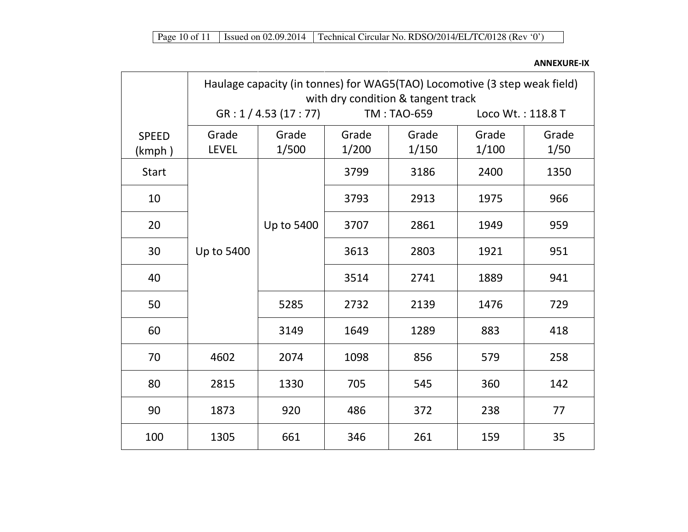## ANNEXURE-IX

|                        | Haulage capacity (in tonnes) for WAG5(TAO) Locomotive (3 step weak field)<br>with dry condition & tangent track |                      |                |                    |                   |               |  |
|------------------------|-----------------------------------------------------------------------------------------------------------------|----------------------|----------------|--------------------|-------------------|---------------|--|
|                        |                                                                                                                 | GR: 1 / 4.53 (17:77) |                | <b>TM: TAO-659</b> | Loco Wt.: 118.8 T |               |  |
| <b>SPEED</b><br>(kmph) | Grade<br><b>LEVEL</b>                                                                                           | Grade<br>1/500       | Grade<br>1/200 | Grade<br>1/150     | Grade<br>1/100    | Grade<br>1/50 |  |
| <b>Start</b>           |                                                                                                                 |                      | 3799           | 3186               | 2400              | 1350          |  |
| 10                     |                                                                                                                 |                      | 3793           | 2913               | 1975              | 966           |  |
| 20                     |                                                                                                                 | Up to 5400           | 3707           | 2861               | 1949              | 959           |  |
| 30                     | Up to 5400                                                                                                      |                      | 3613           | 2803               | 1921              | 951           |  |
| 40                     |                                                                                                                 |                      | 3514           | 2741               | 1889              | 941           |  |
| 50                     |                                                                                                                 | 5285                 | 2732           | 2139               | 1476              | 729           |  |
| 60                     |                                                                                                                 | 3149                 | 1649           | 1289               | 883               | 418           |  |
| 70                     | 4602                                                                                                            | 2074                 | 1098           | 856                | 579               | 258           |  |
| 80                     | 2815                                                                                                            | 1330                 | 705            | 545                | 360               | 142           |  |
| 90                     | 1873                                                                                                            | 920                  | 486            | 372                | 238               | 77            |  |
| 100                    | 1305                                                                                                            | 661                  | 346            | 261                | 159               | 35            |  |